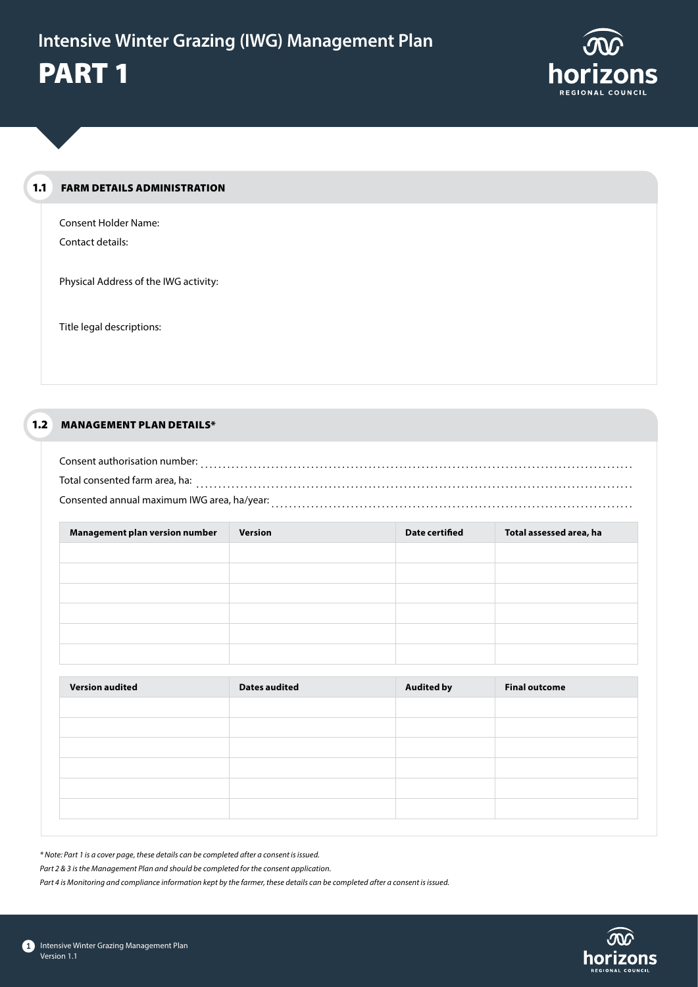

#### FARM DETAILS ADMINISTRATION 1.1

Consent Holder Name: Contact details:

Physical Address of the IWG activity:

Title legal descriptions:

#### MANAGEMENT PLAN DETAILS\* 1.2

| Consent authorisation number:               |  |
|---------------------------------------------|--|
| Total consented farm area, ha:              |  |
| Consented annual maximum IWG area, ha/year: |  |

| Management plan version number | Version | <b>Date certified</b> | Total assessed area, ha |
|--------------------------------|---------|-----------------------|-------------------------|
|                                |         |                       |                         |
|                                |         |                       |                         |
|                                |         |                       |                         |
|                                |         |                       |                         |
|                                |         |                       |                         |
|                                |         |                       |                         |

| <b>Version audited</b> | <b>Dates audited</b> | <b>Audited by</b> | <b>Final outcome</b> |
|------------------------|----------------------|-------------------|----------------------|
|                        |                      |                   |                      |
|                        |                      |                   |                      |
|                        |                      |                   |                      |
|                        |                      |                   |                      |
|                        |                      |                   |                      |
|                        |                      |                   |                      |

*\* Note: Part 1 is a cover page, these details can be completed after a consent is issued.*

*Part 2 & 3 is the Management Plan and should be completed for the consent application.*

*Part 4 is Monitoring and compliance information kept by the farmer, these details can be completed after a consent is issued.*

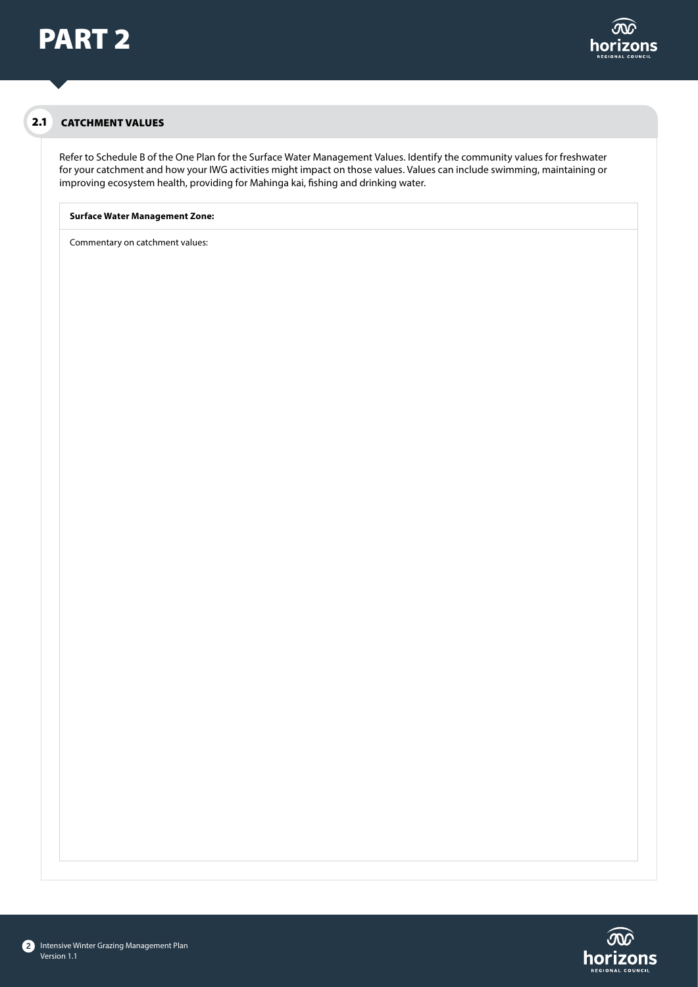# 2.1 CATCHMENT VALUES

Refer to Schedule B of the One Plan for the Surface Water Management Values. Identify the community values for freshwater for your catchment and how your IWG activities might impact on those values. Values can include swimming, maintaining or improving ecosystem health, providing for Mahinga kai, fishing and drinking water.

### **Surface Water Management Zone:**

Commentary on catchment values:

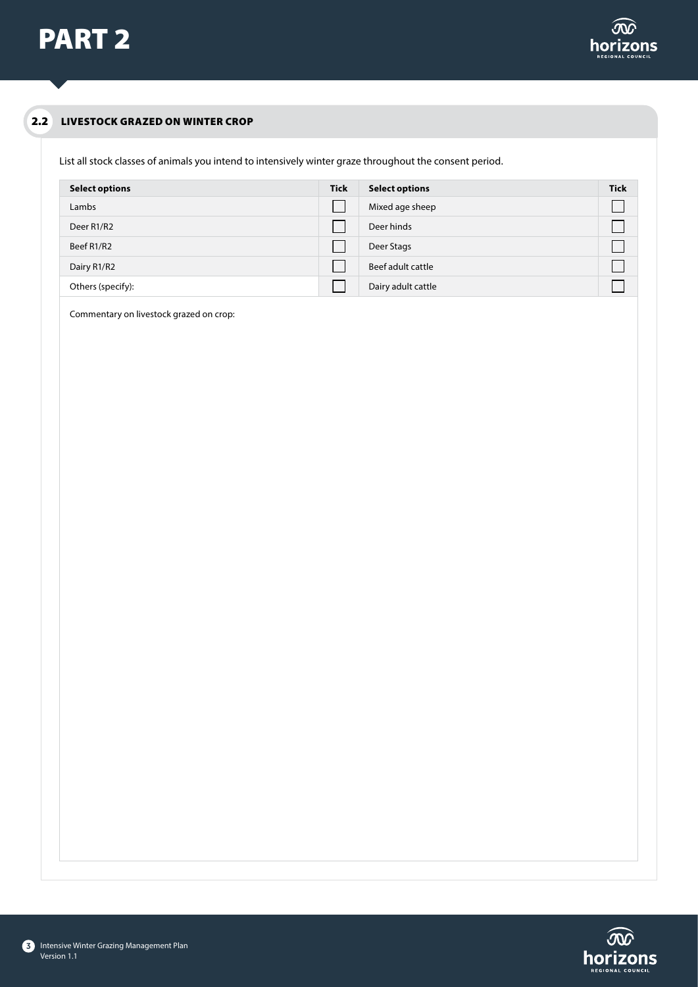

#### LIVESTOCK GRAZED ON WINTER CROP 2.2

List all stock classes of animals you intend to intensively winter graze throughout the consent period.

| <b>Select options</b>               | <b>Tick</b> | <b>Select options</b> | <b>Tick</b> |
|-------------------------------------|-------------|-----------------------|-------------|
| Lambs                               |             | Mixed age sheep       |             |
| Deer R <sub>1</sub> /R <sub>2</sub> |             | Deer hinds            |             |
| Beef R1/R2                          |             | Deer Stags            |             |
| Dairy R1/R2                         |             | Beef adult cattle     |             |
| Others (specify):                   |             | Dairy adult cattle    |             |

Commentary on livestock grazed on crop:

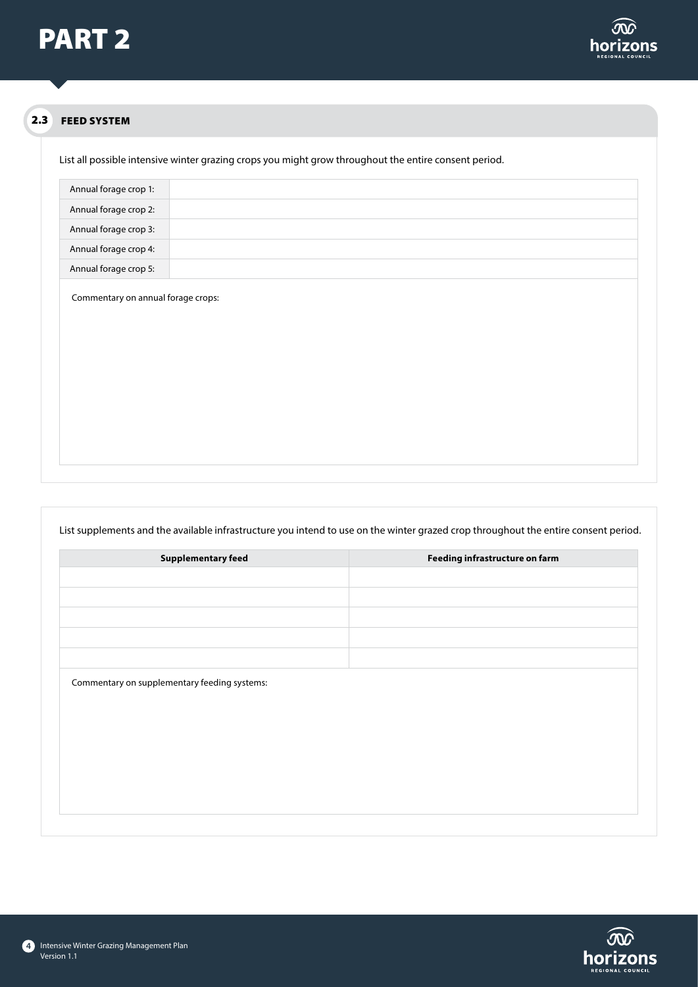

### FEED SYSTEM 2.3

List all possible intensive winter grazing crops you might grow throughout the entire consent period.

| Annual forage crop 1:                                                        |  |
|------------------------------------------------------------------------------|--|
| Annual forage crop 2:                                                        |  |
| Annual forage crop 3:                                                        |  |
| Annual forage crop 4:                                                        |  |
| Annual forage crop 5:                                                        |  |
| $\cdot$ $\cdot$<br>$\sim$<br>the contract of the contract of the contract of |  |

Commentary on annual forage crops:

| List supplements and the available infrastructure you intend to use on the winter grazed crop throughout the entire consent period. |                                |  |  |  |  |
|-------------------------------------------------------------------------------------------------------------------------------------|--------------------------------|--|--|--|--|
| <b>Supplementary feed</b>                                                                                                           | Feeding infrastructure on farm |  |  |  |  |
|                                                                                                                                     |                                |  |  |  |  |
|                                                                                                                                     |                                |  |  |  |  |
|                                                                                                                                     |                                |  |  |  |  |
|                                                                                                                                     |                                |  |  |  |  |
|                                                                                                                                     |                                |  |  |  |  |
| Commentary on supplementary feeding systems:                                                                                        |                                |  |  |  |  |
|                                                                                                                                     |                                |  |  |  |  |

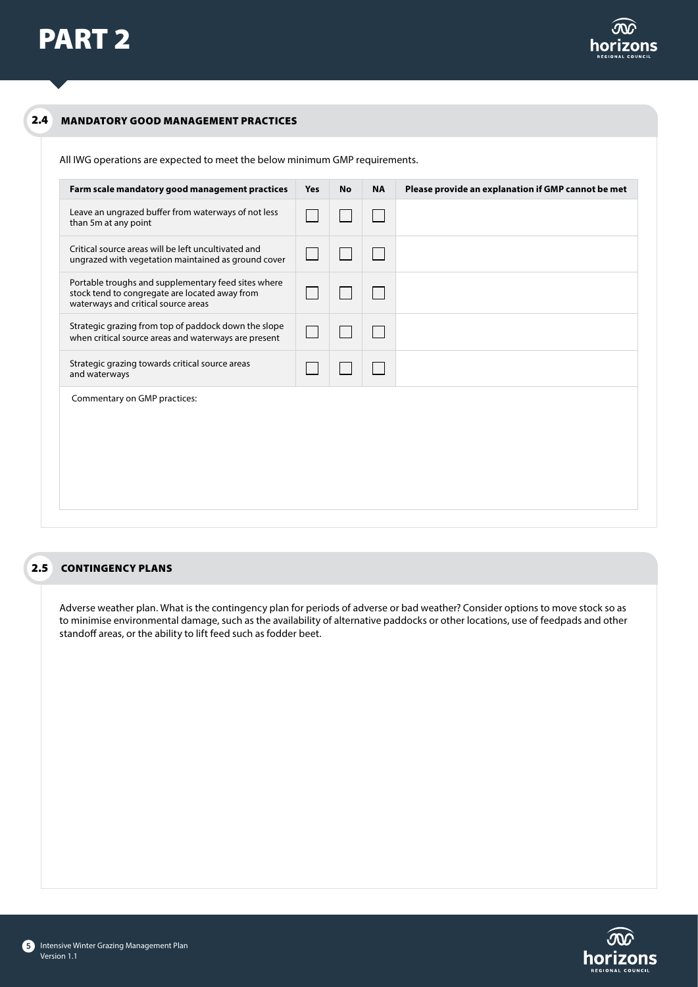### 2.4 MANDATORY GOOD MANAGEMENT PRACTICES

All IWG operations are expected to meet the below minimum GMP requirements.

| Farm scale mandatory good management practices                                                                                               | Yes | <b>No</b> | <b>NA</b> | Please provide an explanation if GMP cannot be met |
|----------------------------------------------------------------------------------------------------------------------------------------------|-----|-----------|-----------|----------------------------------------------------|
| Leave an ungrazed buffer from waterways of not less<br>than 5m at any point                                                                  |     |           |           |                                                    |
| Critical source areas will be left uncultivated and<br>ungrazed with vegetation maintained as ground cover                                   |     |           |           |                                                    |
| Portable troughs and supplementary feed sites where<br>stock tend to congregate are located away from<br>waterways and critical source areas |     |           |           |                                                    |
| Strategic grazing from top of paddock down the slope<br>when critical source areas and waterways are present                                 |     |           |           |                                                    |
| Strategic grazing towards critical source areas<br>and waterways                                                                             |     |           |           |                                                    |
| Commentary on GMP practices:                                                                                                                 |     |           |           |                                                    |

# 2.5 CONTINGENCY PLANS

Adverse weather plan. What is the contingency plan for periods of adverse or bad weather? Consider options to move stock so as to minimise environmental damage, such as the availability of alternative paddocks or other locations, use of feedpads and other standoff areas, or the ability to lift feed such as fodder beet.



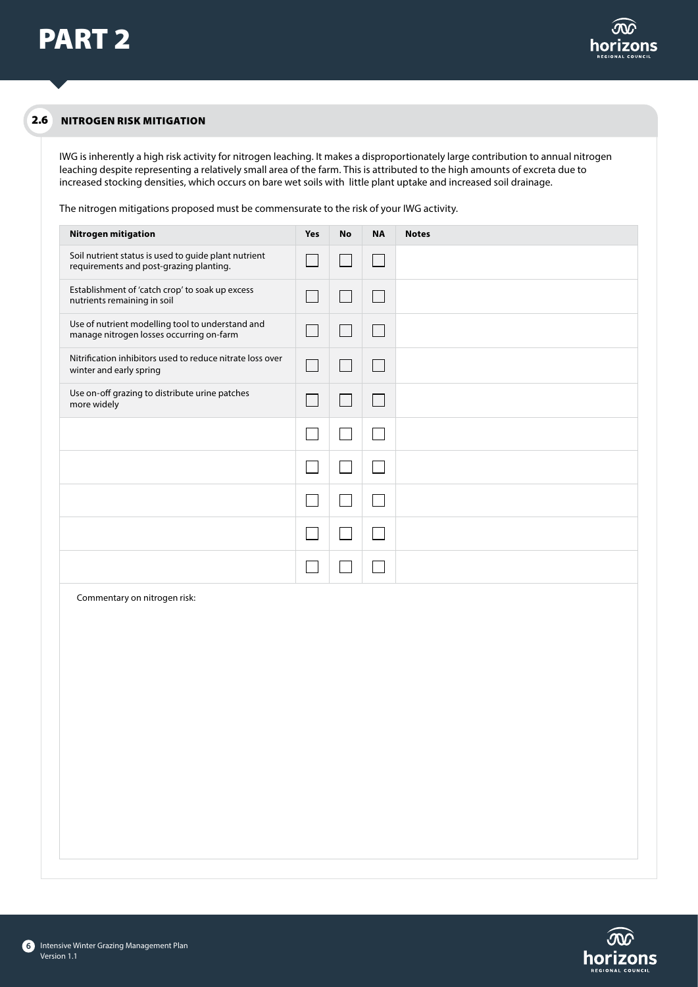#### NITROGEN RISK MITIGATION 2.6

IWG is inherently a high risk activity for nitrogen leaching. It makes a disproportionately large contribution to annual nitrogen leaching despite representing a relatively small area of the farm. This is attributed to the high amounts of excreta due to increased stocking densities, which occurs on bare wet soils with little plant uptake and increased soil drainage.

The nitrogen mitigations proposed must be commensurate to the risk of your IWG activity.

| Nitrogen mitigation                                                                             | Yes                         | <b>No</b>                   | <b>NA</b>                | <b>Notes</b> |
|-------------------------------------------------------------------------------------------------|-----------------------------|-----------------------------|--------------------------|--------------|
| Soil nutrient status is used to guide plant nutrient<br>requirements and post-grazing planting. | $\mathcal{L}_{\mathcal{A}}$ | $\sim$                      | $\lfloor \rfloor$        |              |
| Establishment of 'catch crop' to soak up excess<br>nutrients remaining in soil                  | $\Box$                      | $\mathcal{L}$               | $\Box$                   |              |
| Use of nutrient modelling tool to understand and<br>manage nitrogen losses occurring on-farm    | $\overline{\phantom{a}}$    | $\mathcal{L}_{\mathcal{A}}$ | $\Box$                   |              |
| Nitrification inhibitors used to reduce nitrate loss over<br>winter and early spring            | ┓                           | $\mathbb{Z}^2$              | $\Box$                   |              |
| Use on-off grazing to distribute urine patches<br>more widely                                   | $\Box$                      | $\mathcal{L}$               | $\overline{\phantom{a}}$ |              |
|                                                                                                 | $\mathcal{L}$               |                             |                          |              |
|                                                                                                 |                             |                             |                          |              |
|                                                                                                 |                             |                             |                          |              |
|                                                                                                 |                             |                             |                          |              |
|                                                                                                 |                             |                             |                          |              |
| Commentary on nitrogen risk:                                                                    |                             |                             |                          |              |
|                                                                                                 |                             |                             |                          |              |
|                                                                                                 |                             |                             |                          |              |
|                                                                                                 |                             |                             |                          |              |
|                                                                                                 |                             |                             |                          |              |
|                                                                                                 |                             |                             |                          |              |

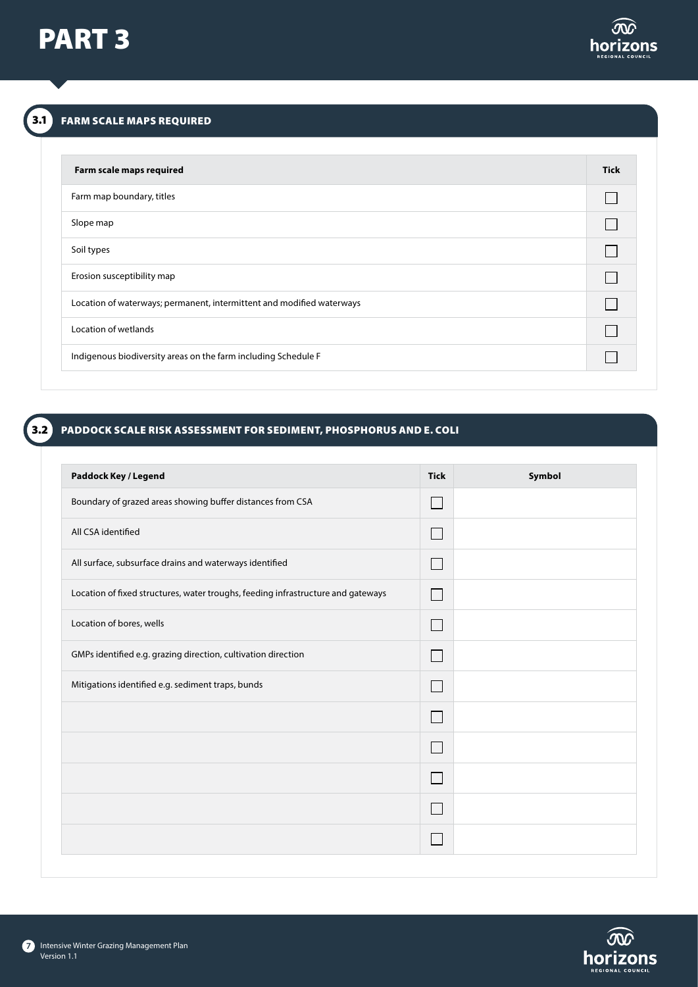

# 3.1 FARM SCALE MAPS REQUIRED

| Farm scale maps required                                              | <b>Tick</b> |
|-----------------------------------------------------------------------|-------------|
| Farm map boundary, titles                                             |             |
| Slope map                                                             |             |
| Soil types                                                            |             |
| Erosion susceptibility map                                            |             |
| Location of waterways; permanent, intermittent and modified waterways |             |
| Location of wetlands                                                  |             |
| Indigenous biodiversity areas on the farm including Schedule F        |             |

### PADDOCK SCALE RISK ASSESSMENT FOR SEDIMENT, PHOSPHORUS AND E. COLI 3.2

| <b>Tick</b>              | Symbol |
|--------------------------|--------|
| $\mathbf{L}$             |        |
| $\mathbb{R}^n$           |        |
| L                        |        |
| $\Box$                   |        |
| $\mathbf{L}$             |        |
| L                        |        |
| $\overline{\phantom{a}}$ |        |
| $\overline{\phantom{a}}$ |        |
| $\Box$                   |        |
| L                        |        |
| L.                       |        |
|                          |        |
|                          |        |

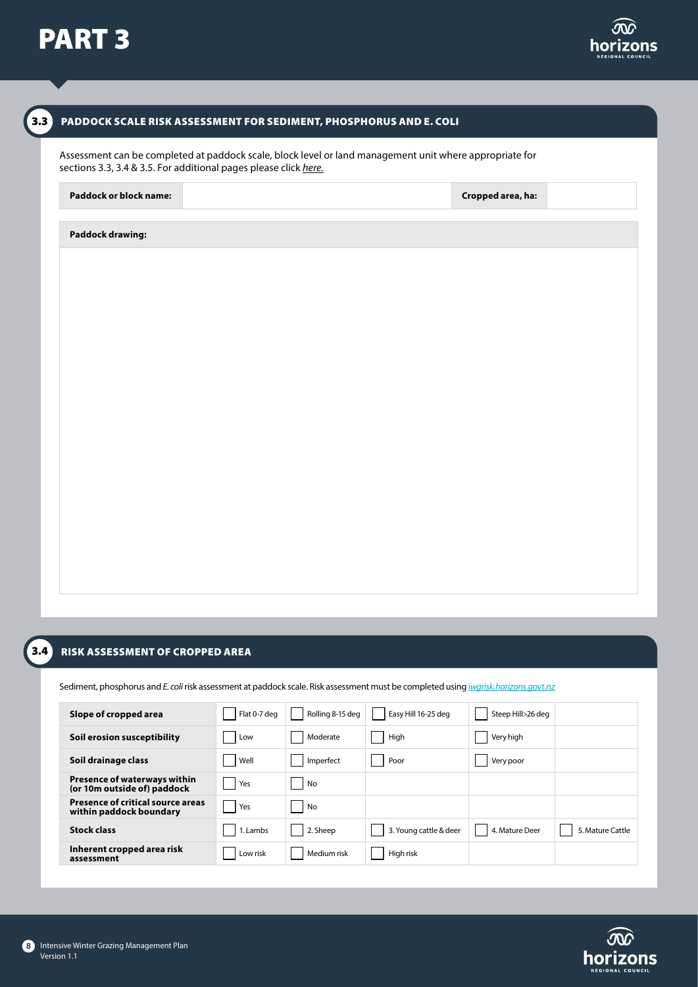

 $\begin{bmatrix} 3.3 \end{bmatrix}$ 



### PADDOCK SCALE RISK ASSESSMENT FOR SEDIMENT, PHOSPHORUS AND E. COLI

Assessment can be completed at paddock scale, block level or land management unit where appropriate for sections 3.3, 3.4 & 3.5. For additional pages please click *[here.](https://www.horizons.govt.nz/HRC/media/Media/IWG-Additional-Paddock-Pages.pdf)*

# **Paddock or block name: Cropped area, ha:**

# **Paddock drawing:**

| $\sim$<br>$\sim$ |  |
|------------------|--|
|                  |  |

8

### RISK ASSESSMENT OF CROPPED AREA

Sediment, phosphorus and *E. coli* risk assessment at paddock scale. Risk assessment must be completed using *[iwgrisk.horizons.govt.nz](https://iwgrisk.horizons.govt.nz/#/)*

| Slope of cropped area                                               | Flat 0-7 deg | Rolling 8-15 deg | Easy Hill 16-25 deg    | Steep Hill>26 deg |                  |
|---------------------------------------------------------------------|--------------|------------------|------------------------|-------------------|------------------|
| Soil erosion susceptibility                                         | Low          | Moderate         | High                   | Very high         |                  |
| Soil drainage class                                                 | Well         | Imperfect        | Poor                   | Very poor         |                  |
| Presence of waterways within<br>(or 10m outside of) paddock         | Yes          | No               |                        |                   |                  |
| <b>Presence of critical source areas</b><br>within paddock boundary | Yes          | No               |                        |                   |                  |
| <b>Stock class</b>                                                  | 1. Lambs     | 2. Sheep         | 3. Young cattle & deer | 4. Mature Deer    | 5. Mature Cattle |
| Inherent cropped area risk<br>assessment                            | Low risk     | Medium risk      | High risk              |                   |                  |

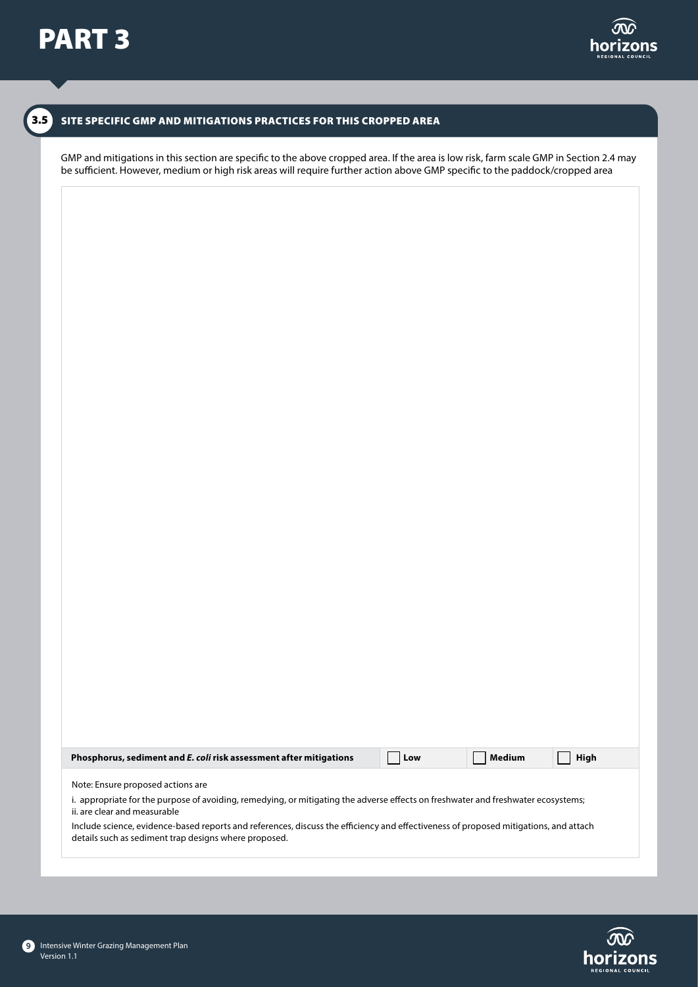# SITE SPECIFIC GMP AND MITIGATIONS PRACTICES FOR THIS CROPPED AREA

GMP and mitigations in this section are specific to the above cropped area. If the area is low risk, farm scale GMP in Section 2.4 may be sufficient. However, medium or high risk areas will require further action above GMP specific to the paddock/cropped area

| Phosphorus, sediment and E. coli risk assessment after mitigations                                                                                                                                                                                                                                                                                                                                      | Low | <b>Medium</b> | <b>High</b> |
|---------------------------------------------------------------------------------------------------------------------------------------------------------------------------------------------------------------------------------------------------------------------------------------------------------------------------------------------------------------------------------------------------------|-----|---------------|-------------|
| Note: Ensure proposed actions are<br>i. appropriate for the purpose of avoiding, remedying, or mitigating the adverse effects on freshwater and freshwater ecosystems;<br>ii, are clear and measurable<br>Include science, evidence-based reports and references, discuss the efficiency and effectiveness of proposed mitigations, and attach<br>details such as sediment trap designs where proposed. |     |               |             |

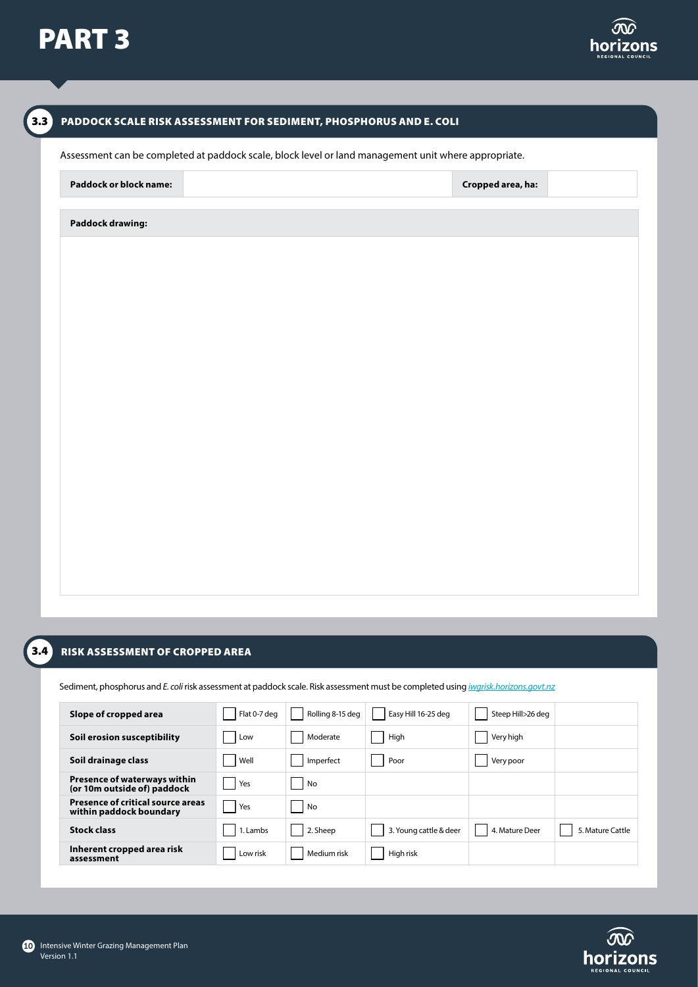



### RISK ASSESSMENT OF CROPPED AREA  $3.4$

Sediment, phosphorus and *E. coli* risk assessment at paddock scale. Risk assessment must be completed using *[iwgrisk.horizons.govt.nz](https://iwgrisk.horizons.govt.nz/#/)*

| Slope of cropped area                                               | Flat 0-7 deg | Rolling 8-15 deg | Easy Hill 16-25 deg    | Steep Hill>26 deg |                  |
|---------------------------------------------------------------------|--------------|------------------|------------------------|-------------------|------------------|
| Soil erosion susceptibility                                         | Low          | Moderate         | High                   | Very high         |                  |
| Soil drainage class                                                 | Well         | Imperfect        | Poor                   | Very poor         |                  |
| <b>Presence of waterways within</b><br>(or 10m outside of) paddock  | Yes          | No               |                        |                   |                  |
| <b>Presence of critical source areas</b><br>within paddock boundary | Yes          | No               |                        |                   |                  |
| <b>Stock class</b>                                                  | 1. Lambs     | 2. Sheep         | 3. Young cattle & deer | 4. Mature Deer    | 5. Mature Cattle |
| Inherent cropped area risk<br>assessment                            | Low risk     | Medium risk      | High risk              |                   |                  |

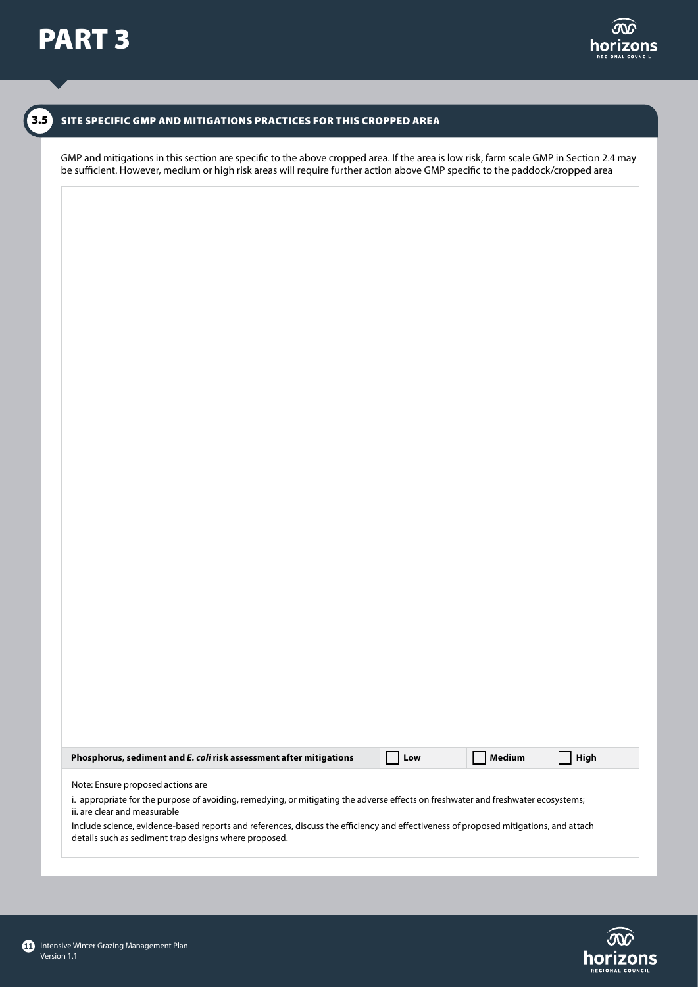## SITE SPECIFIC GMP AND MITIGATIONS PRACTICES FOR THIS CROPPED AREA

GMP and mitigations in this section are specific to the above cropped area. If the area is low risk, farm scale GMP in Section 2.4 may be sufficient. However, medium or high risk areas will require further action above GMP specific to the paddock/cropped area

| Phosphorus, sediment and E. coli risk assessment after mitigations                                                                                                                                                                                                                                                                                                                                      | Low | Medium | <b>High</b> |
|---------------------------------------------------------------------------------------------------------------------------------------------------------------------------------------------------------------------------------------------------------------------------------------------------------------------------------------------------------------------------------------------------------|-----|--------|-------------|
| Note: Ensure proposed actions are<br>i. appropriate for the purpose of avoiding, remedying, or mitigating the adverse effects on freshwater and freshwater ecosystems;<br>ii, are clear and measurable<br>Include science, evidence-based reports and references, discuss the efficiency and effectiveness of proposed mitigations, and attach<br>details such as sediment trap designs where proposed. |     |        |             |

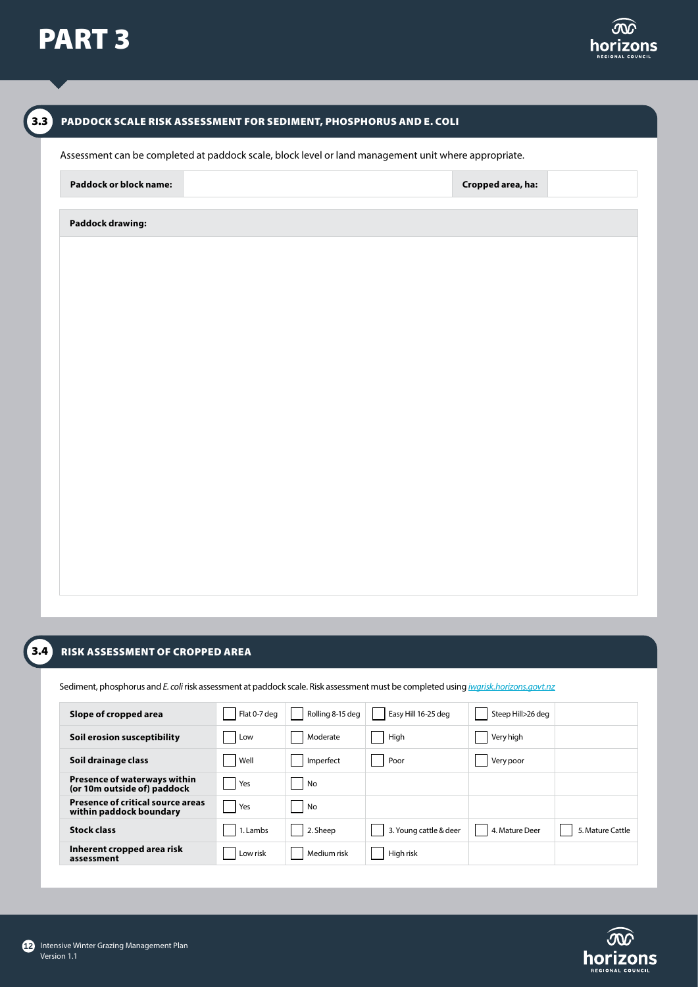



### RISK ASSESSMENT OF CROPPED AREA  $3.4$

Sediment, phosphorus and *E. coli* risk assessment at paddock scale. Risk assessment must be completed using *[iwgrisk.horizons.govt.nz](https://iwgrisk.horizons.govt.nz/#/)*

| Slope of cropped area                                               | Flat 0-7 deg | Rolling 8-15 deg | Easy Hill 16-25 deg    | Steep Hill>26 deg |                  |
|---------------------------------------------------------------------|--------------|------------------|------------------------|-------------------|------------------|
| Soil erosion susceptibility                                         | Low          | Moderate         | High                   | Very high         |                  |
| Soil drainage class                                                 | Well         | Imperfect        | Poor                   | Very poor         |                  |
| <b>Presence of waterways within</b><br>(or 10m outside of) paddock  | Yes          | No               |                        |                   |                  |
| <b>Presence of critical source areas</b><br>within paddock boundary | Yes          | No               |                        |                   |                  |
| <b>Stock class</b>                                                  | 1. Lambs     | 2. Sheep         | 3. Young cattle & deer | 4. Mature Deer    | 5. Mature Cattle |
| Inherent cropped area risk<br>assessment                            | Low risk     | Medium risk      | High risk              |                   |                  |

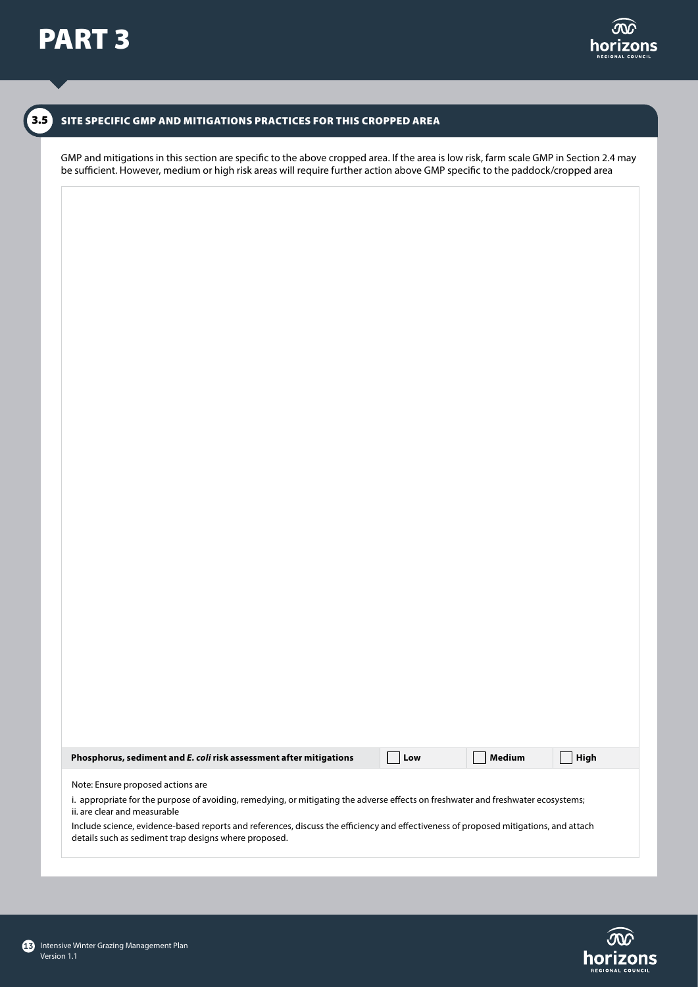## SITE SPECIFIC GMP AND MITIGATIONS PRACTICES FOR THIS CROPPED AREA

GMP and mitigations in this section are specific to the above cropped area. If the area is low risk, farm scale GMP in Section 2.4 may be sufficient. However, medium or high risk areas will require further action above GMP specific to the paddock/cropped area

| Phosphorus, sediment and E. coli risk assessment after mitigations                                                                                                                            | Low | Medium | <b>High</b> |  |  |  |  |  |
|-----------------------------------------------------------------------------------------------------------------------------------------------------------------------------------------------|-----|--------|-------------|--|--|--|--|--|
| Note: Ensure proposed actions are                                                                                                                                                             |     |        |             |  |  |  |  |  |
| i. appropriate for the purpose of avoiding, remedying, or mitigating the adverse effects on freshwater and freshwater ecosystems;<br>ii, are clear and measurable                             |     |        |             |  |  |  |  |  |
| Include science, evidence-based reports and references, discuss the efficiency and effectiveness of proposed mitigations, and attach<br>details such as sediment trap designs where proposed. |     |        |             |  |  |  |  |  |
|                                                                                                                                                                                               |     |        |             |  |  |  |  |  |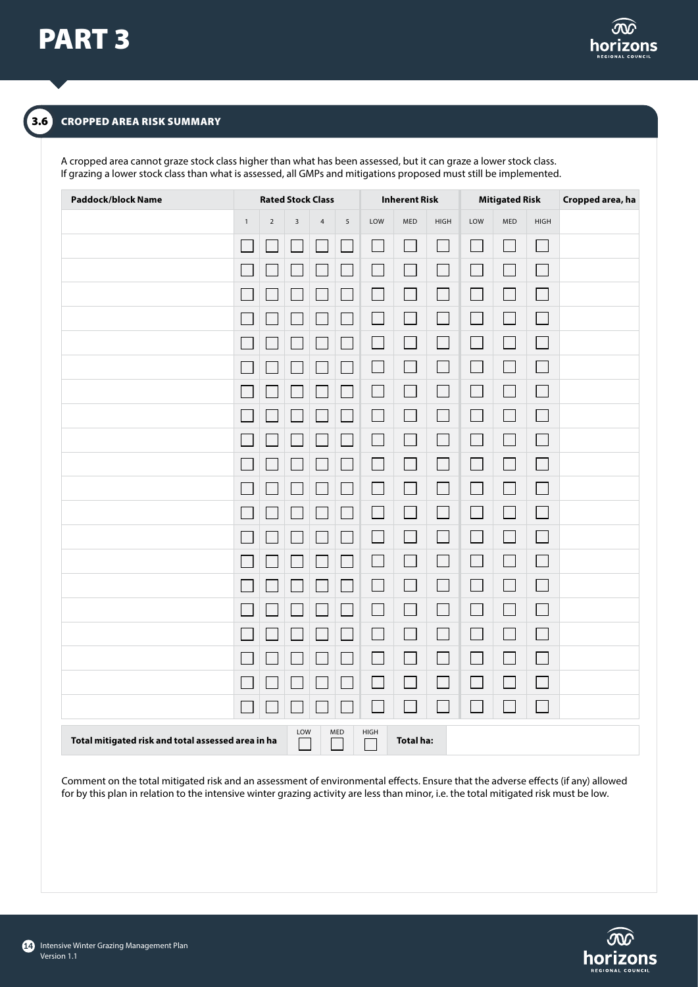

# CROPPED AREA RISK SUMMARY

A cropped area cannot graze stock class higher than what has been assessed, but it can graze a lower stock class. If grazing a lower stock class than what is assessed, all GMPs and mitigations proposed must still be implemented.

| <b>Paddock/block Name</b>                          | <b>Rated Stock Class</b> |                | <b>Inherent Risk</b> |            | <b>Mitigated Risk</b> |                             | Cropped area, ha         |                             |                             |                             |                             |  |
|----------------------------------------------------|--------------------------|----------------|----------------------|------------|-----------------------|-----------------------------|--------------------------|-----------------------------|-----------------------------|-----------------------------|-----------------------------|--|
|                                                    | $\mathbf 1$              | $\overline{2}$ | $\overline{3}$       | $\sqrt{4}$ | $\sqrt{5}$            | LOW                         | MED                      | HIGH                        | LOW                         | MED                         | <b>HIGH</b>                 |  |
|                                                    |                          |                |                      |            |                       | h.                          | $\Box$                   |                             | $\mathcal{L}_{\mathcal{A}}$ | $\mathcal{L}^{\mathcal{L}}$ | $\mathcal{L}_{\mathcal{A}}$ |  |
|                                                    |                          |                |                      |            | $\Box$                | $\mathcal{L}_{\mathcal{A}}$ | $\Box$                   | $\Box$                      | $\Box$                      | $\Box$                      | $\Box$                      |  |
|                                                    |                          |                |                      |            | $\Box$                | $\mathcal{L}_{\mathcal{A}}$ | $\Box$                   | $\mathcal{L}_{\mathcal{A}}$ | $\Box$                      | $\mathcal{L}_{\mathcal{A}}$ | $\Box$                      |  |
|                                                    |                          |                |                      |            |                       |                             | $\Box$                   | $\mathcal{L}_{\mathcal{A}}$ | $\Box$                      | $\mathcal{L}_{\mathcal{A}}$ | $\overline{\phantom{0}}$    |  |
|                                                    |                          |                |                      |            |                       | $\mathcal{L}$               | $\Box$                   |                             |                             | $\Box$                      | $\mathcal{L}_{\mathcal{A}}$ |  |
|                                                    |                          |                |                      |            |                       | $\mathcal{L}_{\mathcal{A}}$ | $\Box$                   |                             | $\mathcal{L}_{\mathcal{A}}$ | $\mathbb{R}^2$              | $\Box$                      |  |
|                                                    |                          |                |                      |            | $\Box$                | $\Box$                      | $\Box$                   | $\overline{\phantom{a}}$    | $\Box$                      | $\Box$                      | $\Box$                      |  |
|                                                    |                          |                |                      |            |                       | $\mathcal{L}_{\mathcal{A}}$ | $\Box$                   | $\mathcal{L}_{\mathcal{A}}$ | $\Box$                      |                             | П                           |  |
|                                                    |                          |                |                      |            |                       | i<br>Li                     | $\Box$                   | $\mathbb{R}^2$              |                             | $\mathbb{R}^2$              | $\Box$                      |  |
|                                                    |                          |                |                      |            |                       | $\mathcal{L}_{\mathcal{A}}$ | $\Box$                   | $\overline{\phantom{a}}$    | $\Box$                      | $\mathbb{R}^n$              | $\Box$                      |  |
|                                                    |                          |                |                      |            | $\Box$                | $\Box$                      | $\Box$                   | $\mathcal{L}_{\mathcal{A}}$ | $\mathcal{L}_{\mathcal{A}}$ |                             | $\overline{\phantom{a}}$    |  |
|                                                    |                          |                |                      |            | $\Box$                | $\Box$                      | $\Box$                   | $\overline{\phantom{a}}$    | $\Box$                      | $\mathcal{L}_{\mathcal{A}}$ | $\Box$                      |  |
|                                                    |                          |                |                      |            |                       |                             | $\Box$                   | $\mathcal{L}_{\mathcal{A}}$ |                             | $\sim$                      | $\Box$                      |  |
|                                                    |                          |                |                      |            |                       | m.                          | $\Box$                   | $\Box$                      |                             | $\sim$                      | $\Box$                      |  |
|                                                    |                          |                |                      |            |                       | $\overline{\phantom{a}}$    | $\Box$                   | $\Box$                      | $\mathcal{L}_{\mathcal{A}}$ | $\mathcal{L}$               | $\Box$                      |  |
|                                                    |                          |                |                      |            | $\Box$                | $\mathcal{L}_{\mathcal{A}}$ | $\Box$                   | $\Box$                      | $\Box$                      | $\mathcal{L}_{\mathcal{A}}$ | $\Box$                      |  |
|                                                    |                          |                |                      |            |                       | $\mathcal{L}_{\mathcal{A}}$ | $\Box$                   | $\mathcal{L}_{\mathcal{A}}$ | $\mathbb{R}^n$              | $\mathcal{L}_{\mathcal{A}}$ | $\Box$                      |  |
|                                                    |                          |                |                      |            |                       | i<br>L                      | $\overline{\phantom{a}}$ | $\mathcal{L}_{\mathcal{A}}$ | $\mathcal{L}_{\mathcal{A}}$ |                             | $\Box$                      |  |
|                                                    |                          |                |                      |            |                       |                             | $\Box$                   |                             |                             |                             | $\overline{\phantom{a}}$    |  |
|                                                    |                          |                |                      |            |                       |                             |                          |                             |                             |                             | $\mathcal{L}_{\mathcal{A}}$ |  |
| Total mitigated risk and total assessed area in ha |                          |                | LOW                  |            | MED                   | HIGH                        | <b>Total ha:</b>         |                             |                             |                             |                             |  |

Comment on the total mitigated risk and an assessment of environmental effects. Ensure that the adverse effects (if any) allowed for by this plan in relation to the intensive winter grazing activity are less than minor, i.e. the total mitigated risk must be low.